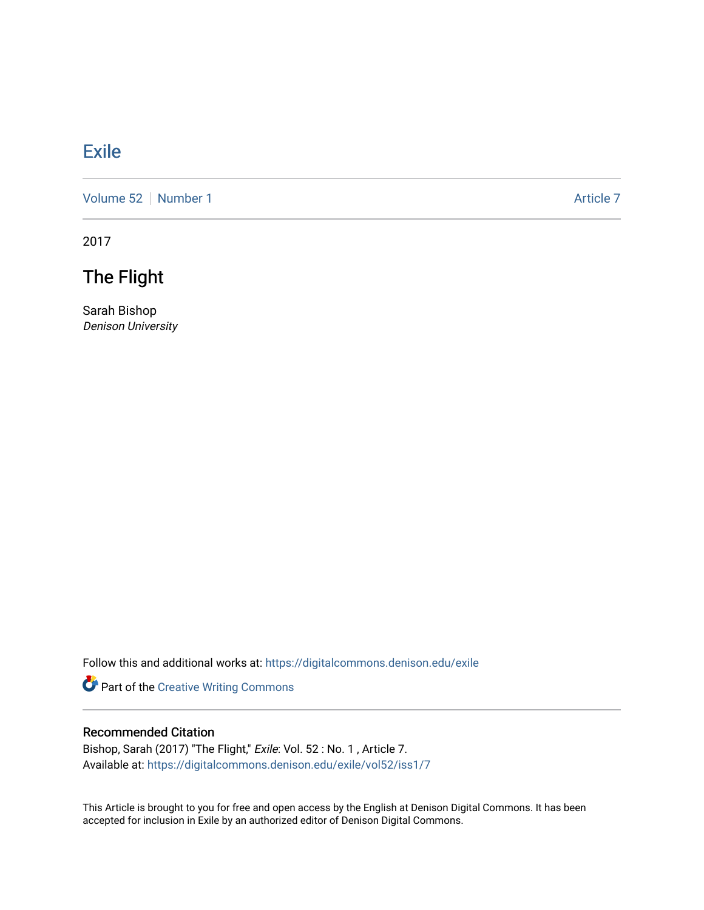## [Exile](https://digitalcommons.denison.edu/exile)

[Volume 52](https://digitalcommons.denison.edu/exile/vol52) [Number 1](https://digitalcommons.denison.edu/exile/vol52/iss1) Article 7

2017

## The Flight

Sarah Bishop Denison University

Follow this and additional works at: [https://digitalcommons.denison.edu/exile](https://digitalcommons.denison.edu/exile?utm_source=digitalcommons.denison.edu%2Fexile%2Fvol52%2Fiss1%2F7&utm_medium=PDF&utm_campaign=PDFCoverPages) 

Part of the [Creative Writing Commons](http://network.bepress.com/hgg/discipline/574?utm_source=digitalcommons.denison.edu%2Fexile%2Fvol52%2Fiss1%2F7&utm_medium=PDF&utm_campaign=PDFCoverPages) 

## Recommended Citation

Bishop, Sarah (2017) "The Flight," Exile: Vol. 52 : No. 1, Article 7. Available at: [https://digitalcommons.denison.edu/exile/vol52/iss1/7](https://digitalcommons.denison.edu/exile/vol52/iss1/7?utm_source=digitalcommons.denison.edu%2Fexile%2Fvol52%2Fiss1%2F7&utm_medium=PDF&utm_campaign=PDFCoverPages) 

This Article is brought to you for free and open access by the English at Denison Digital Commons. It has been accepted for inclusion in Exile by an authorized editor of Denison Digital Commons.